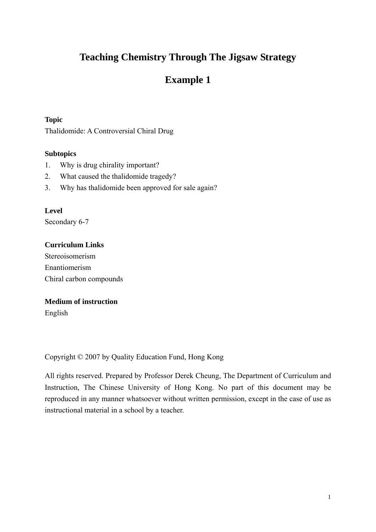# **Teaching Chemistry Through The Jigsaw Strategy**

# **Example 1**

## **Topic**

Thalidomide: A Controversial Chiral Drug

## **Subtopics**

- 1. Why is drug chirality important?
- 2. What caused the thalidomide tragedy?
- 3. Why has thalidomide been approved for sale again?

## **Level**

Secondary 6-7

## **Curriculum Links**

Stereoisomerism Enantiomerism Chiral carbon compounds

## **Medium of instruction**

English

Copyright © 2007 by Quality Education Fund, Hong Kong

All rights reserved. Prepared by Professor Derek Cheung, The Department of Curriculum and Instruction, The Chinese University of Hong Kong. No part of this document may be reproduced in any manner whatsoever without written permission, except in the case of use as instructional material in a school by a teacher.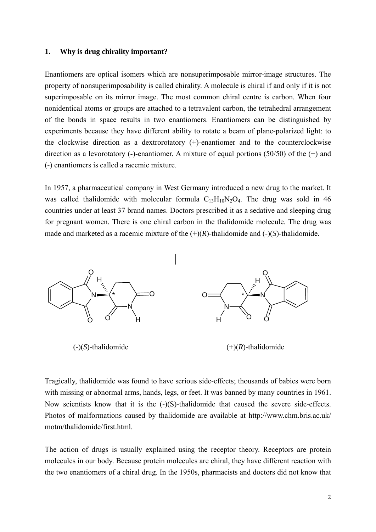#### **1. Why is drug chirality important?**

Enantiomers are optical isomers which are nonsuperimposable mirror-image structures. The property of nonsuperimposability is called chirality. A molecule is chiral if and only if it is not superimposable on its mirror image. The most common chiral centre is carbon. When four nonidentical atoms or groups are attached to a tetravalent carbon, the tetrahedral arrangement of the bonds in space results in two enantiomers. Enantiomers can be distinguished by experiments because they have different ability to rotate a beam of plane-polarized light: to the clockwise direction as a dextrorotatory (+)-enantiomer and to the counterclockwise direction as a levorotatory (-)-enantiomer. A mixture of equal portions (50/50) of the (+) and (-) enantiomers is called a racemic mixture.

In 1957, a pharmaceutical company in West Germany introduced a new drug to the market. It was called thalidomide with molecular formula  $C_{13}H_{10}N_2O_4$ . The drug was sold in 46 countries under at least 37 brand names. Doctors prescribed it as a sedative and sleeping drug for pregnant women. There is one chiral carbon in the thalidomide molecule. The drug was made and marketed as a racemic mixture of the  $(+)(R)$ -thalidomide and  $(-)(S)$ -thalidomide.



Tragically, thalidomide was found to have serious side-effects; thousands of babies were born with missing or abnormal arms, hands, legs, or feet. It was banned by many countries in 1961. Now scientists know that it is the  $(-)(S)$ -thalidomide that caused the severe side-effects. Photos of malformations caused by thalidomide are available at http://www.chm.bris.ac.uk/ motm/thalidomide/first.html.

The action of drugs is usually explained using the receptor theory. Receptors are protein molecules in our body. Because protein molecules are chiral, they have different reaction with the two enantiomers of a chiral drug. In the 1950s, pharmacists and doctors did not know that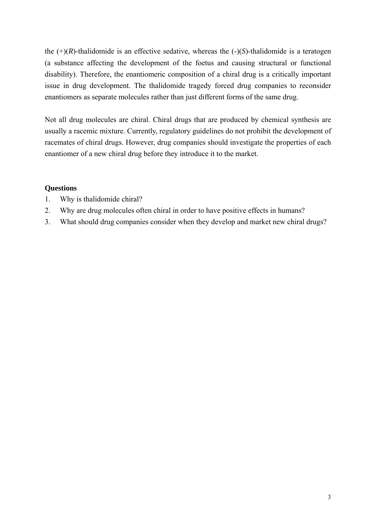the  $(+)(R)$ -thalidomide is an effective sedative, whereas the  $(-)(S)$ -thalidomide is a teratogen (a substance affecting the development of the foetus and causing structural or functional disability). Therefore, the enantiomeric composition of a chiral drug is a critically important issue in drug development. The thalidomide tragedy forced drug companies to reconsider enantiomers as separate molecules rather than just different forms of the same drug.

Not all drug molecules are chiral. Chiral drugs that are produced by chemical synthesis are usually a racemic mixture. Currently, regulatory guidelines do not prohibit the development of racemates of chiral drugs. However, drug companies should investigate the properties of each enantiomer of a new chiral drug before they introduce it to the market.

## **Questions**

- 1. Why is thalidomide chiral?
- 2. Why are drug molecules often chiral in order to have positive effects in humans?
- 3. What should drug companies consider when they develop and market new chiral drugs?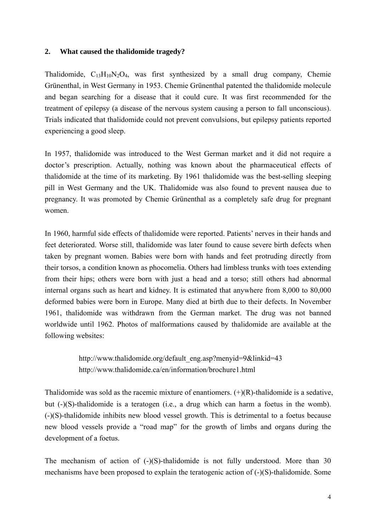### **2. What caused the thalidomide tragedy?**

Thalidomide,  $C_{13}H_{10}N_2O_4$ , was first synthesized by a small drug company, Chemie Grünenthal, in West Germany in 1953. Chemie Grünenthal patented the thalidomide molecule and began searching for a disease that it could cure. It was first recommended for the treatment of epilepsy (a disease of the nervous system causing a person to fall unconscious). Trials indicated that thalidomide could not prevent convulsions, but epilepsy patients reported experiencing a good sleep.

In 1957, thalidomide was introduced to the West German market and it did not require a doctor's prescription. Actually, nothing was known about the pharmaceutical effects of thalidomide at the time of its marketing. By 1961 thalidomide was the best-selling sleeping pill in West Germany and the UK. Thalidomide was also found to prevent nausea due to pregnancy. It was promoted by Chemie Grünenthal as a completely safe drug for pregnant women.

In 1960, harmful side effects of thalidomide were reported. Patients' nerves in their hands and feet deteriorated. Worse still, thalidomide was later found to cause severe birth defects when taken by pregnant women. Babies were born with hands and feet protruding directly from their torsos, a condition known as phocomelia. Others had limbless trunks with toes extending from their hips; others were born with just a head and a torso; still others had abnormal internal organs such as heart and kidney. It is estimated that anywhere from 8,000 to 80,000 deformed babies were born in Europe. Many died at birth due to their defects. In November 1961, thalidomide was withdrawn from the German market. The drug was not banned worldwide until 1962. Photos of malformations caused by thalidomide are available at the following websites:

> http://www.thalidomide.org/default\_eng.asp?menyid=9&linkid=43 http://www.thalidomide.ca/en/information/brochure1.html

Thalidomide was sold as the racemic mixture of enantiomers.  $(+)(R)$ -thalidomide is a sedative, but (-)(S)-thalidomide is a teratogen (i.e., a drug which can harm a foetus in the womb). (-)(S)-thalidomide inhibits new blood vessel growth. This is detrimental to a foetus because new blood vessels provide a "road map" for the growth of limbs and organs during the development of a foetus.

The mechanism of action of  $(-)(S)$ -thalidomide is not fully understood. More than 30 mechanisms have been proposed to explain the teratogenic action of (-)(S)-thalidomide. Some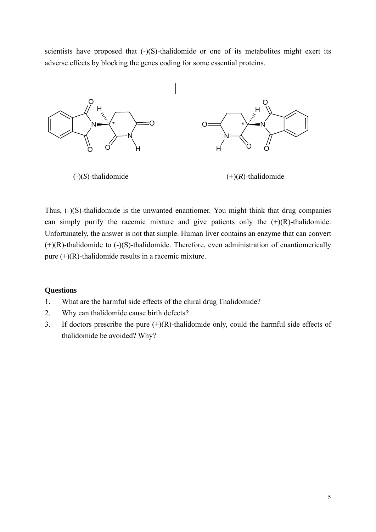scientists have proposed that  $(-)(S)$ -thalidomide or one of its metabolites might exert its adverse effects by blocking the genes coding for some essential proteins.



Thus, (-)(S)-thalidomide is the unwanted enantiomer. You might think that drug companies can simply purify the racemic mixture and give patients only the  $(+)(R)$ -thalidomide. Unfortunately, the answer is not that simple. Human liver contains an enzyme that can convert  $(+)(R)$ -thalidomide to  $(-)(S)$ -thalidomide. Therefore, even administration of enantiomerically pure  $(+)(R)$ -thalidomide results in a racemic mixture.

## **Questions**

- 1. What are the harmful side effects of the chiral drug Thalidomide?
- 2. Why can thalidomide cause birth defects?
- 3. If doctors prescribe the pure  $(+)(R)$ -thalidomide only, could the harmful side effects of thalidomide be avoided? Why?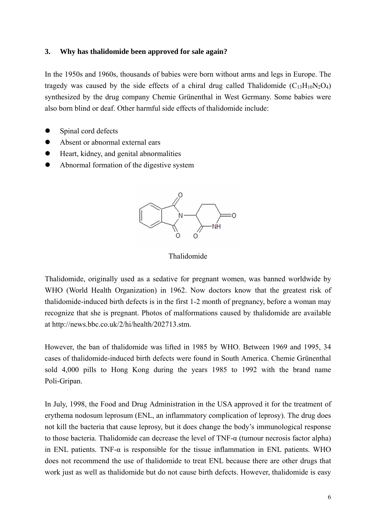## **3. Why has thalidomide been approved for sale again?**

In the 1950s and 1960s, thousands of babies were born without arms and legs in Europe. The tragedy was caused by the side effects of a chiral drug called Thalidomide  $(C_{13}H_{10}N_2O_4)$ synthesized by the drug company Chemie Grünenthal in West Germany. Some babies were also born blind or deaf. Other harmful side effects of thalidomide include:

- Spinal cord defects
- Absent or abnormal external ears
- $\bullet$  Heart, kidney, and genital abnormalities
- Abnormal formation of the digestive system



Thalidomide

Thalidomide, originally used as a sedative for pregnant women, was banned worldwide by WHO (World Health Organization) in 1962. Now doctors know that the greatest risk of thalidomide-induced birth defects is in the first 1-2 month of pregnancy, before a woman may recognize that she is pregnant. Photos of malformations caused by thalidomide are available at http://news.bbc.co.uk/2/hi/health/202713.stm.

However, the ban of thalidomide was lifted in 1985 by WHO. Between 1969 and 1995, 34 cases of thalidomide-induced birth defects were found in South America. Chemie Grünenthal sold 4,000 pills to Hong Kong during the years 1985 to 1992 with the brand name Poli-Gripan.

In July, 1998, the Food and Drug Administration in the USA approved it for the treatment of erythema nodosum leprosum (ENL, an inflammatory complication of leprosy). The drug does not kill the bacteria that cause leprosy, but it does change the body's immunological response to those bacteria. Thalidomide can decrease the level of TNF-α (tumour necrosis factor alpha) in ENL patients. TNF- $\alpha$  is responsible for the tissue inflammation in ENL patients. WHO does not recommend the use of thalidomide to treat ENL because there are other drugs that work just as well as thalidomide but do not cause birth defects. However, thalidomide is easy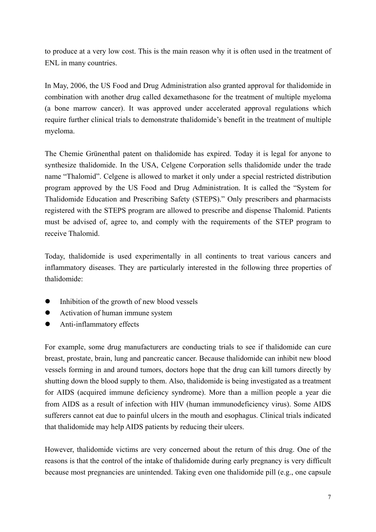to produce at a very low cost. This is the main reason why it is often used in the treatment of ENL in many countries.

In May, 2006, the US Food and Drug Administration also granted approval for thalidomide in combination with another drug called dexamethasone for the treatment of multiple myeloma (a bone marrow cancer). It was approved under accelerated approval regulations which require further clinical trials to demonstrate thalidomide's benefit in the treatment of multiple myeloma.

The Chemie Grünenthal patent on thalidomide has expired. Today it is legal for anyone to synthesize thalidomide. In the USA, Celgene Corporation sells thalidomide under the trade name "Thalomid". Celgene is allowed to market it only under a special restricted distribution program approved by the US Food and Drug Administration. It is called the "System for Thalidomide Education and Prescribing Safety (STEPS)." Only prescribers and pharmacists registered with the STEPS program are allowed to prescribe and dispense Thalomid. Patients must be advised of, agree to, and comply with the requirements of the STEP program to receive Thalomid.

Today, thalidomide is used experimentally in all continents to treat various cancers and inflammatory diseases. They are particularly interested in the following three properties of thalidomide:

- Inhibition of the growth of new blood vessels
- Activation of human immune system
- Anti-inflammatory effects

For example, some drug manufacturers are conducting trials to see if thalidomide can cure breast, prostate, brain, lung and pancreatic cancer. Because thalidomide can inhibit new blood vessels forming in and around tumors, doctors hope that the drug can kill tumors directly by shutting down the blood supply to them. Also, thalidomide is being investigated as a treatment for AIDS (acquired immune deficiency syndrome). More than a million people a year die from AIDS as a result of infection with HIV (human immunodeficiency virus). Some AIDS sufferers cannot eat due to painful ulcers in the mouth and esophagus. Clinical trials indicated that thalidomide may help AIDS patients by reducing their ulcers.

However, thalidomide victims are very concerned about the return of this drug. One of the reasons is that the control of the intake of thalidomide during early pregnancy is very difficult because most pregnancies are unintended. Taking even one thalidomide pill (e.g., one capsule